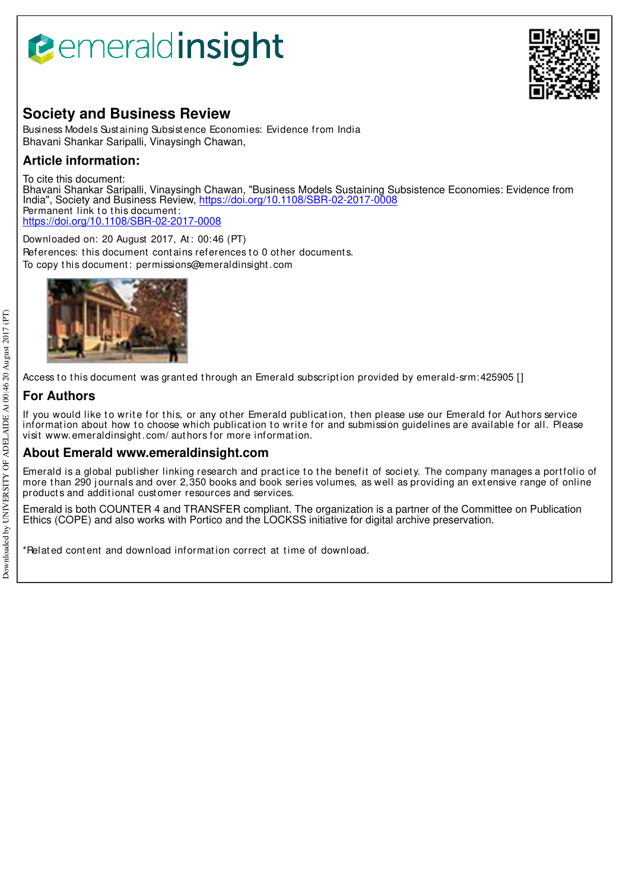# **Bemeraldinsight**



# **Society and Business Review**

Business Models Sust aining Subsist ence Economies: Evidence from India Bhavani Shankar Saripalli, Vinaysingh Chawan,

# **Article information:**

To cite this document: Bhavani Shankar Saripalli, Vinaysingh Chawan, "Business Models Sustaining Subsistence Economies: Evidence from India", Society and Business Review, https://doi.org/10.1108/SBR-02-2017-0008 Permanent link to this document: https://doi.org/10.1108/SBR-02-2017-0008

Downloaded on: 20 August 2017, At : 00:46 (PT) References: this document contains references to 0 other documents. To copy t his document : permissions@emeraldinsight .com



Access to this document was granted through an Emerald subscription provided by emerald-srm: 425905 []

# **For Authors**

If you would like to write for this, or any other Emerald publication, then please use our Emerald for Authors service information about how to choose which publication to write for and submission guidelines are available for all. Please visit www.emeraldinsight .com/ aut hors for more informat ion.

# **About Emerald www.emeraldinsight.com**

Emerald is a global publisher linking research and practice to the benefit of society. The company manages a portfolio of more than 290 journals and over 2,350 books and book series volumes, as well as providing an extensive range of online product s and addit ional cust omer resources and services.

Emerald is both COUNTER 4 and TRANSFER compliant. The organization is a partner of the Committee on Publication Ethics (COPE) and also works with Portico and the LOCKSS initiative for digital archive preservation.

\*Relat ed cont ent and download informat ion correct at t ime of download.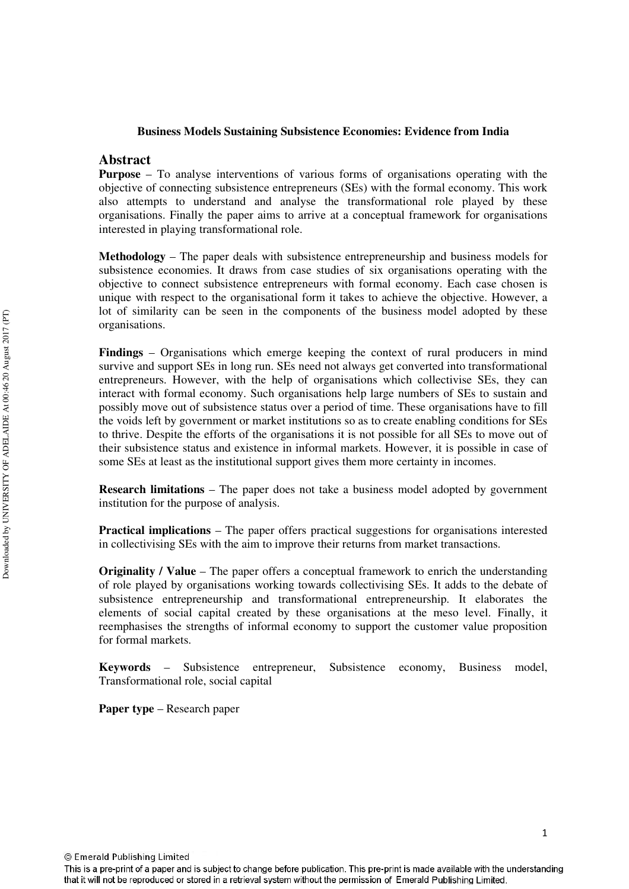#### **Business Models Sustaining Subsistence Economies: Evidence from India**

# **Abstract**

**Purpose** – To analyse interventions of various forms of organisations operating with the objective of connecting subsistence entrepreneurs (SEs) with the formal economy. This work also attempts to understand and analyse the transformational role played by these organisations. Finally the paper aims to arrive at a conceptual framework for organisations interested in playing transformational role.

**Methodology** – The paper deals with subsistence entrepreneurship and business models for subsistence economies. It draws from case studies of six organisations operating with the objective to connect subsistence entrepreneurs with formal economy. Each case chosen is unique with respect to the organisational form it takes to achieve the objective. However, a lot of similarity can be seen in the components of the business model adopted by these organisations.

**Findings** – Organisations which emerge keeping the context of rural producers in mind survive and support SEs in long run. SEs need not always get converted into transformational entrepreneurs. However, with the help of organisations which collectivise SEs, they can interact with formal economy. Such organisations help large numbers of SEs to sustain and possibly move out of subsistence status over a period of time. These organisations have to fill the voids left by government or market institutions so as to create enabling conditions for SEs to thrive. Despite the efforts of the organisations it is not possible for all SEs to move out of their subsistence status and existence in informal markets. However, it is possible in case of some SEs at least as the institutional support gives them more certainty in incomes.

**Research limitations** – The paper does not take a business model adopted by government institution for the purpose of analysis.

**Practical implications** – The paper offers practical suggestions for organisations interested in collectivising SEs with the aim to improve their returns from market transactions.

**Originality / Value** – The paper offers a conceptual framework to enrich the understanding of role played by organisations working towards collectivising SEs. It adds to the debate of subsistence entrepreneurship and transformational entrepreneurship. It elaborates the elements of social capital created by these organisations at the meso level. Finally, it reemphasises the strengths of informal economy to support the customer value proposition for formal markets.

**Keywords** – Subsistence entrepreneur, Subsistence economy, Business model, Transformational role, social capital

**Paper type** – Research paper

1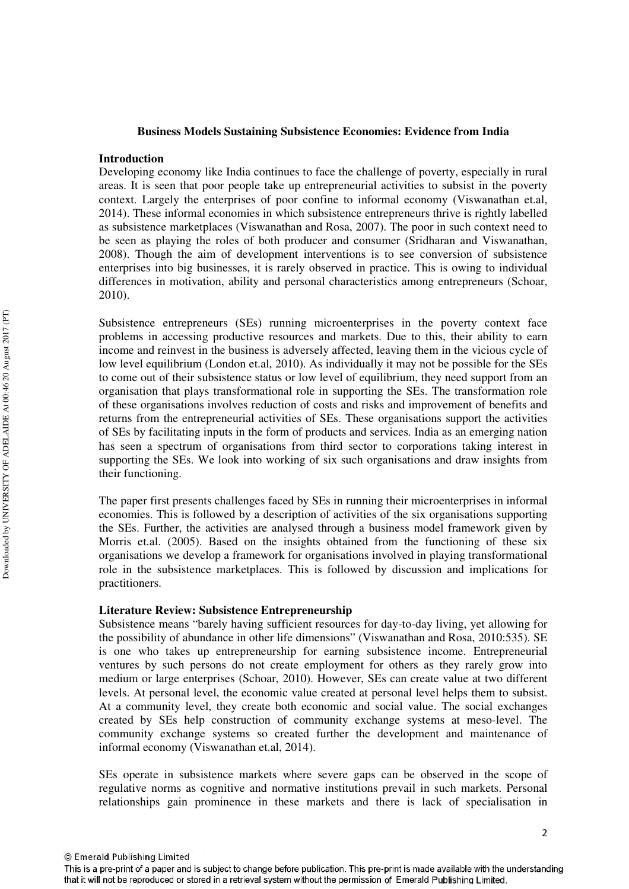#### **Business Models Sustaining Subsistence Economies: Evidence from India**

#### **Introduction**

Developing economy like India continues to face the challenge of poverty, especially in rural areas. It is seen that poor people take up entrepreneurial activities to subsist in the poverty context. Largely the enterprises of poor confine to informal economy (Viswanathan et.al, 2014). These informal economies in which subsistence entrepreneurs thrive is rightly labelled as subsistence marketplaces (Viswanathan and Rosa, 2007). The poor in such context need to be seen as playing the roles of both producer and consumer (Sridharan and Viswanathan, 2008). Though the aim of development interventions is to see conversion of subsistence enterprises into big businesses, it is rarely observed in practice. This is owing to individual differences in motivation, ability and personal characteristics among entrepreneurs (Schoar, 2010).

Subsistence entrepreneurs (SEs) running microenterprises in the poverty context face problems in accessing productive resources and markets. Due to this, their ability to earn income and reinvest in the business is adversely affected, leaving them in the vicious cycle of low level equilibrium (London et.al, 2010). As individually it may not be possible for the SEs to come out of their subsistence status or low level of equilibrium, they need support from an organisation that plays transformational role in supporting the SEs. The transformation role of these organisations involves reduction of costs and risks and improvement of benefits and returns from the entrepreneurial activities of SEs. These organisations support the activities of SEs by facilitating inputs in the form of products and services. India as an emerging nation has seen a spectrum of organisations from third sector to corporations taking interest in supporting the SEs. We look into working of six such organisations and draw insights from their functioning.

The paper first presents challenges faced by SEs in running their microenterprises in informal economies. This is followed by a description of activities of the six organisations supporting the SEs. Further, the activities are analysed through a business model framework given by Morris et.al. (2005). Based on the insights obtained from the functioning of these six organisations we develop a framework for organisations involved in playing transformational role in the subsistence marketplaces. This is followed by discussion and implications for practitioners.

#### **Literature Review: Subsistence Entrepreneurship**

Subsistence means "barely having sufficient resources for day-to-day living, yet allowing for the possibility of abundance in other life dimensions" (Viswanathan and Rosa, 2010:535). SE is one who takes up entrepreneurship for earning subsistence income. Entrepreneurial ventures by such persons do not create employment for others as they rarely grow into medium or large enterprises (Schoar, 2010). However, SEs can create value at two different levels. At personal level, the economic value created at personal level helps them to subsist. At a community level, they create both economic and social value. The social exchanges created by SEs help construction of community exchange systems at meso-level. The community exchange systems so created further the development and maintenance of informal economy (Viswanathan et.al, 2014).

SEs operate in subsistence markets where severe gaps can be observed in the scope of regulative norms as cognitive and normative institutions prevail in such markets. Personal relationships gain prominence in these markets and there is lack of specialisation in

© Emerald Publishing Limited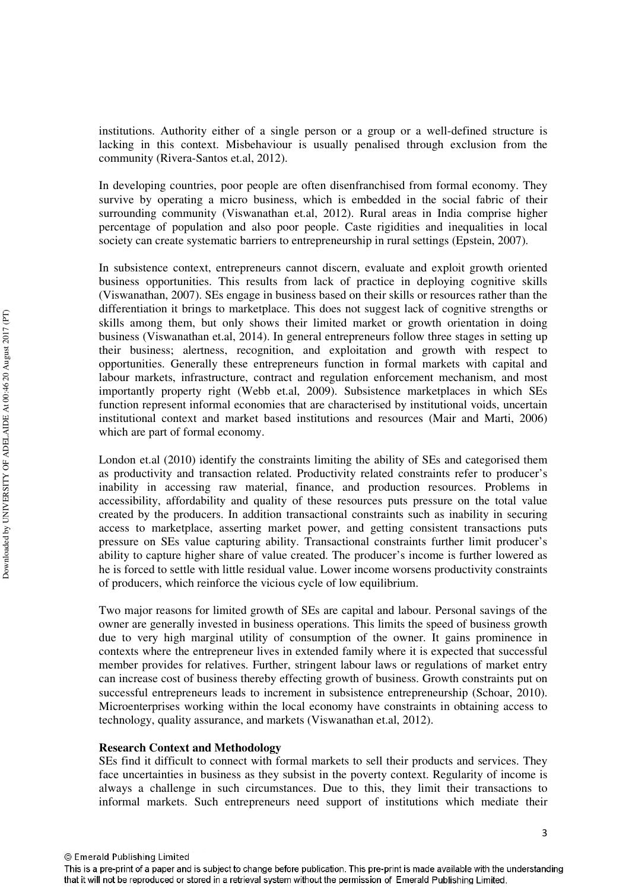institutions. Authority either of a single person or a group or a well-defined structure is lacking in this context. Misbehaviour is usually penalised through exclusion from the community (Rivera-Santos et.al, 2012).

In developing countries, poor people are often disenfranchised from formal economy. They survive by operating a micro business, which is embedded in the social fabric of their surrounding community (Viswanathan et.al, 2012). Rural areas in India comprise higher percentage of population and also poor people. Caste rigidities and inequalities in local society can create systematic barriers to entrepreneurship in rural settings (Epstein, 2007).

In subsistence context, entrepreneurs cannot discern, evaluate and exploit growth oriented business opportunities. This results from lack of practice in deploying cognitive skills (Viswanathan, 2007). SEs engage in business based on their skills or resources rather than the differentiation it brings to marketplace. This does not suggest lack of cognitive strengths or skills among them, but only shows their limited market or growth orientation in doing business (Viswanathan et.al, 2014). In general entrepreneurs follow three stages in setting up their business; alertness, recognition, and exploitation and growth with respect to opportunities. Generally these entrepreneurs function in formal markets with capital and labour markets, infrastructure, contract and regulation enforcement mechanism, and most importantly property right (Webb et.al, 2009). Subsistence marketplaces in which SEs function represent informal economies that are characterised by institutional voids, uncertain institutional context and market based institutions and resources (Mair and Marti, 2006) which are part of formal economy.

London et.al (2010) identify the constraints limiting the ability of SEs and categorised them as productivity and transaction related. Productivity related constraints refer to producer's inability in accessing raw material, finance, and production resources. Problems in accessibility, affordability and quality of these resources puts pressure on the total value created by the producers. In addition transactional constraints such as inability in securing access to marketplace, asserting market power, and getting consistent transactions puts pressure on SEs value capturing ability. Transactional constraints further limit producer's ability to capture higher share of value created. The producer's income is further lowered as he is forced to settle with little residual value. Lower income worsens productivity constraints of producers, which reinforce the vicious cycle of low equilibrium.

Two major reasons for limited growth of SEs are capital and labour. Personal savings of the owner are generally invested in business operations. This limits the speed of business growth due to very high marginal utility of consumption of the owner. It gains prominence in contexts where the entrepreneur lives in extended family where it is expected that successful member provides for relatives. Further, stringent labour laws or regulations of market entry can increase cost of business thereby effecting growth of business. Growth constraints put on successful entrepreneurs leads to increment in subsistence entrepreneurship (Schoar, 2010). Microenterprises working within the local economy have constraints in obtaining access to technology, quality assurance, and markets (Viswanathan et.al, 2012).

#### **Research Context and Methodology**

SEs find it difficult to connect with formal markets to sell their products and services. They face uncertainties in business as they subsist in the poverty context. Regularity of income is always a challenge in such circumstances. Due to this, they limit their transactions to informal markets. Such entrepreneurs need support of institutions which mediate their

© Emerald Publishing Limited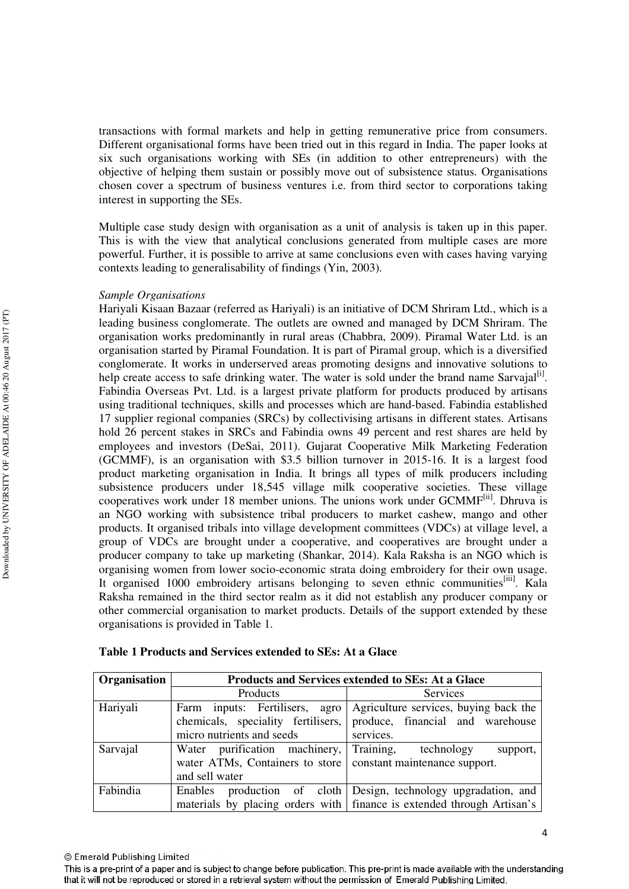transactions with formal markets and help in getting remunerative price from consumers. Different organisational forms have been tried out in this regard in India. The paper looks at six such organisations working with SEs (in addition to other entrepreneurs) with the objective of helping them sustain or possibly move out of subsistence status. Organisations chosen cover a spectrum of business ventures i.e. from third sector to corporations taking interest in supporting the SEs.

Multiple case study design with organisation as a unit of analysis is taken up in this paper. This is with the view that analytical conclusions generated from multiple cases are more powerful. Further, it is possible to arrive at same conclusions even with cases having varying contexts leading to generalisability of findings (Yin, 2003).

# *Sample Organisations*

Hariyali Kisaan Bazaar (referred as Hariyali) is an initiative of DCM Shriram Ltd., which is a leading business conglomerate. The outlets are owned and managed by DCM Shriram. The organisation works predominantly in rural areas (Chabbra, 2009). Piramal Water Ltd. is an organisation started by Piramal Foundation. It is part of Piramal group, which is a diversified conglomerate. It works in underserved areas promoting designs and innovative solutions to help create access to safe drinking water. The water is sold under the brand name Sarvajal<sup>[i]</sup>. Fabindia Overseas Pvt. Ltd. is a largest private platform for products produced by artisans using traditional techniques, skills and processes which are hand-based. Fabindia established 17 supplier regional companies (SRCs) by collectivising artisans in different states. Artisans hold 26 percent stakes in SRCs and Fabindia owns 49 percent and rest shares are held by employees and investors (DeSai, 2011). Gujarat Cooperative Milk Marketing Federation (GCMMF), is an organisation with \$3.5 billion turnover in 2015-16. It is a largest food product marketing organisation in India. It brings all types of milk producers including subsistence producers under 18,545 village milk cooperative societies. These village cooperatives work under 18 member unions. The unions work under GCMMF<sup>[ii]</sup>. Dhruva is an NGO working with subsistence tribal producers to market cashew, mango and other products. It organised tribals into village development committees (VDCs) at village level, a group of VDCs are brought under a cooperative, and cooperatives are brought under a producer company to take up marketing (Shankar, 2014). Kala Raksha is an NGO which is organising women from lower socio-economic strata doing embroidery for their own usage. It organised 1000 embroidery artisans belonging to seven ethnic communities<sup>[iii]</sup>. Kala Raksha remained in the third sector realm as it did not establish any producer company or other commercial organisation to market products. Details of the support extended by these organisations is provided in Table 1.

| Organisation | Products and Services extended to SEs: At a Glace               |                                                                        |
|--------------|-----------------------------------------------------------------|------------------------------------------------------------------------|
|              | Products                                                        | <b>Services</b>                                                        |
| Hariyali     | Farm inputs: Fertilisers, agro                                  | Agriculture services, buying back the                                  |
|              | chemicals, speciality fertilisers,                              | produce, financial and warehouse                                       |
|              | micro nutrients and seeds                                       | services.                                                              |
| Sarvajal     | Water purification machinery,                                   | Training,<br>technology<br>support,                                    |
|              | water ATMs, Containers to store   constant maintenance support. |                                                                        |
|              | and sell water                                                  |                                                                        |
| Fabindia     | Enables                                                         | production of cloth Design, technology upgradation, and                |
|              |                                                                 | materials by placing orders with finance is extended through Artisan's |

| Table 1 Products and Services extended to SEs: At a Glace |  |  |  |
|-----------------------------------------------------------|--|--|--|
|-----------------------------------------------------------|--|--|--|

<sup>©</sup> Emerald Publishing Limited

This is a pre-print of a paper and is subject to change before publication. This pre-print is made available with the understanding that it will not be reproduced or stored in a retrieval system without the permission of Emerald Publishing Limited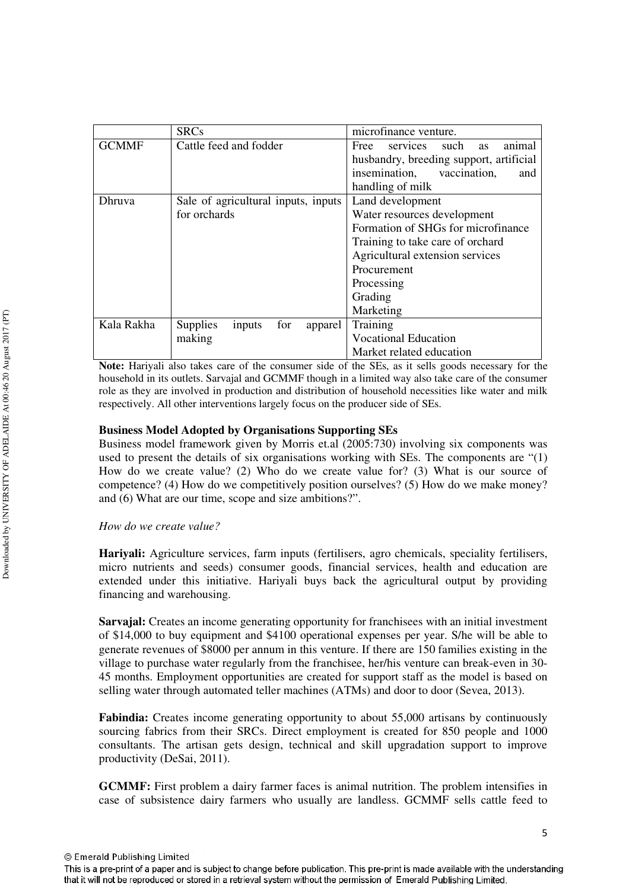|               | <b>SRCs</b>                                 | microfinance venture.                        |
|---------------|---------------------------------------------|----------------------------------------------|
| <b>GCMMF</b>  | Cattle feed and fodder                      | animal<br>Free services<br>such<br><b>as</b> |
|               |                                             | husbandry, breeding support, artificial      |
|               |                                             | insemination, vaccination,<br>and            |
|               |                                             | handling of milk                             |
| <b>Dhruva</b> | Sale of agricultural inputs, inputs         | Land development                             |
|               | for orchards                                | Water resources development                  |
|               |                                             | Formation of SHGs for microfinance           |
|               |                                             | Training to take care of orchard             |
|               |                                             | Agricultural extension services              |
|               |                                             | Procurement                                  |
|               |                                             | Processing                                   |
|               |                                             | Grading                                      |
|               |                                             | Marketing                                    |
| Kala Rakha    | <b>Supplies</b><br>inputs<br>for<br>apparel | Training                                     |
|               | making                                      | <b>Vocational Education</b>                  |
|               |                                             | Market related education                     |

**Note:** Hariyali also takes care of the consumer side of the SEs, as it sells goods necessary for the household in its outlets. Sarvajal and GCMMF though in a limited way also take care of the consumer role as they are involved in production and distribution of household necessities like water and milk respectively. All other interventions largely focus on the producer side of SEs.

# **Business Model Adopted by Organisations Supporting SEs**

Business model framework given by Morris et.al (2005:730) involving six components was used to present the details of six organisations working with SEs. The components are "(1) How do we create value? (2) Who do we create value for? (3) What is our source of competence? (4) How do we competitively position ourselves? (5) How do we make money? and (6) What are our time, scope and size ambitions?".

*How do we create value?* 

**Hariyali:** Agriculture services, farm inputs (fertilisers, agro chemicals, speciality fertilisers, micro nutrients and seeds) consumer goods, financial services, health and education are extended under this initiative. Hariyali buys back the agricultural output by providing financing and warehousing.

**Sarvajal:** Creates an income generating opportunity for franchisees with an initial investment of \$14,000 to buy equipment and \$4100 operational expenses per year. S/he will be able to generate revenues of \$8000 per annum in this venture. If there are 150 families existing in the village to purchase water regularly from the franchisee, her/his venture can break-even in 30- 45 months. Employment opportunities are created for support staff as the model is based on selling water through automated teller machines (ATMs) and door to door (Sevea, 2013).

**Fabindia:** Creates income generating opportunity to about 55,000 artisans by continuously sourcing fabrics from their SRCs. Direct employment is created for 850 people and 1000 consultants. The artisan gets design, technical and skill upgradation support to improve productivity (DeSai, 2011).

**GCMMF:** First problem a dairy farmer faces is animal nutrition. The problem intensifies in case of subsistence dairy farmers who usually are landless. GCMMF sells cattle feed to

© Emerald Publishing Limited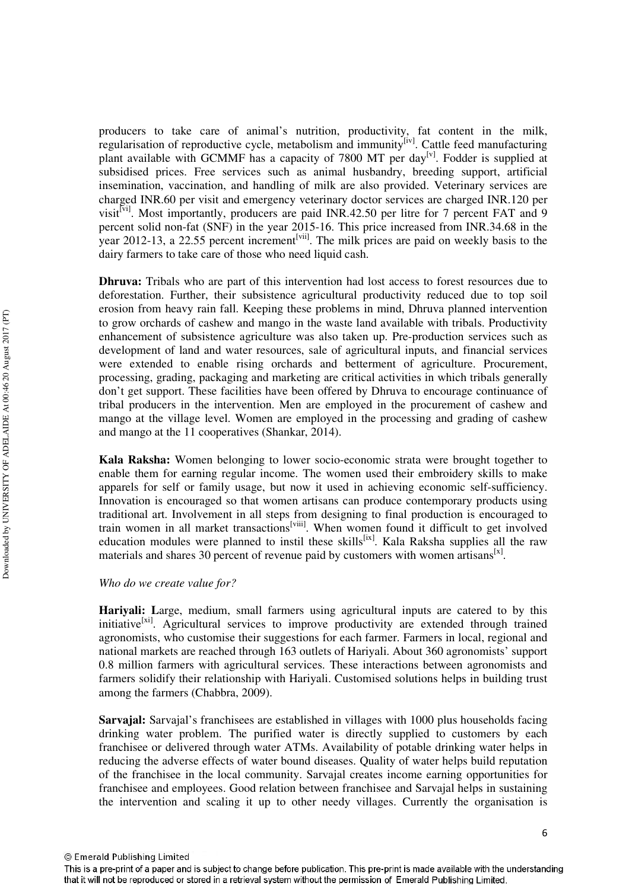producers to take care of animal's nutrition, productivity, fat content in the milk, regularisation of reproductive cycle, metabolism and immunity<sup>[iv]</sup>. Cattle feed manufacturing plant available with GCMMF has a capacity of 7800 MT per day<sup>[v]</sup>. Fodder is supplied at subsidised prices. Free services such as animal husbandry, breeding support, artificial insemination, vaccination, and handling of milk are also provided. Veterinary services are charged INR.60 per visit and emergency veterinary doctor services are charged INR.120 per visit<sup>[vi]</sup>. Most importantly, producers are paid INR.42.50 per litre for 7 percent FAT and 9 percent solid non-fat (SNF) in the year 2015-16. This price increased from INR.34.68 in the year 2012-13, a 22.55 percent increment<sup>[vii]</sup>. The milk prices are paid on weekly basis to the dairy farmers to take care of those who need liquid cash.

**Dhruva:** Tribals who are part of this intervention had lost access to forest resources due to deforestation. Further, their subsistence agricultural productivity reduced due to top soil erosion from heavy rain fall. Keeping these problems in mind, Dhruva planned intervention to grow orchards of cashew and mango in the waste land available with tribals. Productivity enhancement of subsistence agriculture was also taken up. Pre-production services such as development of land and water resources, sale of agricultural inputs, and financial services were extended to enable rising orchards and betterment of agriculture. Procurement, processing, grading, packaging and marketing are critical activities in which tribals generally don't get support. These facilities have been offered by Dhruva to encourage continuance of tribal producers in the intervention. Men are employed in the procurement of cashew and mango at the village level. Women are employed in the processing and grading of cashew and mango at the 11 cooperatives (Shankar, 2014).

**Kala Raksha:** Women belonging to lower socio-economic strata were brought together to enable them for earning regular income. The women used their embroidery skills to make apparels for self or family usage, but now it used in achieving economic self-sufficiency. Innovation is encouraged so that women artisans can produce contemporary products using traditional art. Involvement in all steps from designing to final production is encouraged to train women in all market transactions[viii]. When women found it difficult to get involved education modules were planned to instil these skills<sup>[ix]</sup>. Kala Raksha supplies all the raw materials and shares 30 percent of revenue paid by customers with women artisans $[x]$ .

#### *Who do we create value for?*

**Hariyali: L**arge, medium, small farmers using agricultural inputs are catered to by this initiative<sup>[xi]</sup>. Agricultural services to improve productivity are extended through trained agronomists, who customise their suggestions for each farmer. Farmers in local, regional and national markets are reached through 163 outlets of Hariyali. About 360 agronomists' support 0.8 million farmers with agricultural services. These interactions between agronomists and farmers solidify their relationship with Hariyali. Customised solutions helps in building trust among the farmers (Chabbra, 2009).

**Sarvajal:** Sarvajal's franchisees are established in villages with 1000 plus households facing drinking water problem. The purified water is directly supplied to customers by each franchisee or delivered through water ATMs. Availability of potable drinking water helps in reducing the adverse effects of water bound diseases. Quality of water helps build reputation of the franchisee in the local community. Sarvajal creates income earning opportunities for franchisee and employees. Good relation between franchisee and Sarvajal helps in sustaining the intervention and scaling it up to other needy villages. Currently the organisation is

© Emerald Publishing Limited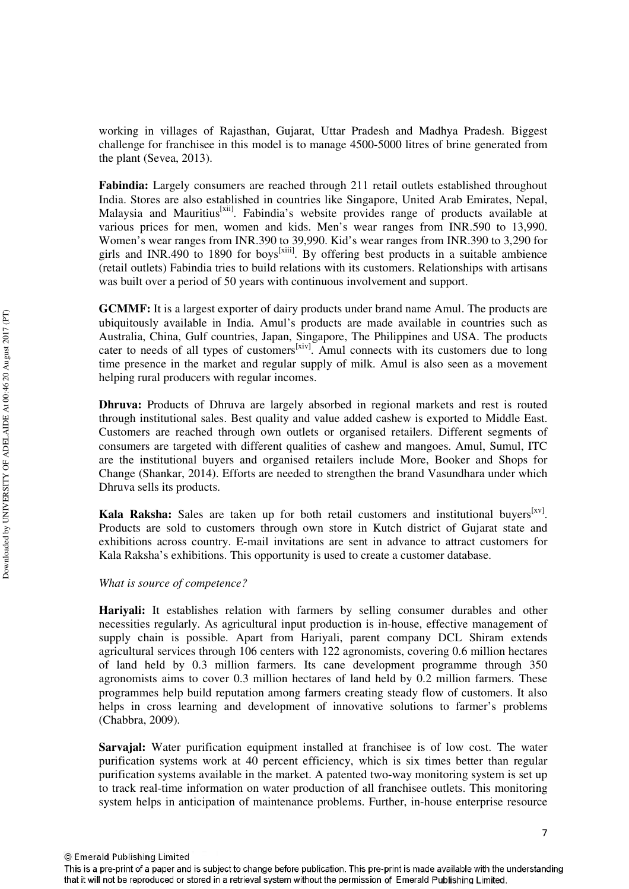working in villages of Rajasthan, Gujarat, Uttar Pradesh and Madhya Pradesh. Biggest challenge for franchisee in this model is to manage 4500-5000 litres of brine generated from the plant (Sevea, 2013).

**Fabindia:** Largely consumers are reached through 211 retail outlets established throughout India. Stores are also established in countries like Singapore, United Arab Emirates, Nepal, Malaysia and Mauritius<sup>[xii]</sup>. Fabindia's website provides range of products available at various prices for men, women and kids. Men's wear ranges from INR.590 to 13,990. Women's wear ranges from INR.390 to 39,990. Kid's wear ranges from INR.390 to 3,290 for girls and INR.490 to 1890 for boys<sup>[xiii]</sup>. By offering best products in a suitable ambience (retail outlets) Fabindia tries to build relations with its customers. Relationships with artisans was built over a period of 50 years with continuous involvement and support.

**GCMMF:** It is a largest exporter of dairy products under brand name Amul. The products are ubiquitously available in India. Amul's products are made available in countries such as Australia, China, Gulf countries, Japan, Singapore, The Philippines and USA. The products cater to needs of all types of customers<sup>[xiv]</sup>. Amul connects with its customers due to long time presence in the market and regular supply of milk. Amul is also seen as a movement helping rural producers with regular incomes.

**Dhruva:** Products of Dhruva are largely absorbed in regional markets and rest is routed through institutional sales. Best quality and value added cashew is exported to Middle East. Customers are reached through own outlets or organised retailers. Different segments of consumers are targeted with different qualities of cashew and mangoes. Amul, Sumul, ITC are the institutional buyers and organised retailers include More, Booker and Shops for Change (Shankar, 2014). Efforts are needed to strengthen the brand Vasundhara under which Dhruva sells its products.

Kala Raksha: Sales are taken up for both retail customers and institutional buyers<sup>[xv]</sup>. Products are sold to customers through own store in Kutch district of Gujarat state and exhibitions across country. E-mail invitations are sent in advance to attract customers for Kala Raksha's exhibitions. This opportunity is used to create a customer database.

*What is source of competence?* 

**Hariyali:** It establishes relation with farmers by selling consumer durables and other necessities regularly. As agricultural input production is in-house, effective management of supply chain is possible. Apart from Hariyali, parent company DCL Shiram extends agricultural services through 106 centers with 122 agronomists, covering 0.6 million hectares of land held by 0.3 million farmers. Its cane development programme through 350 agronomists aims to cover 0.3 million hectares of land held by 0.2 million farmers. These programmes help build reputation among farmers creating steady flow of customers. It also helps in cross learning and development of innovative solutions to farmer's problems (Chabbra, 2009).

**Sarvajal:** Water purification equipment installed at franchisee is of low cost. The water purification systems work at 40 percent efficiency, which is six times better than regular purification systems available in the market. A patented two-way monitoring system is set up to track real-time information on water production of all franchisee outlets. This monitoring system helps in anticipation of maintenance problems. Further, in-house enterprise resource

© Emerald Publishing Limited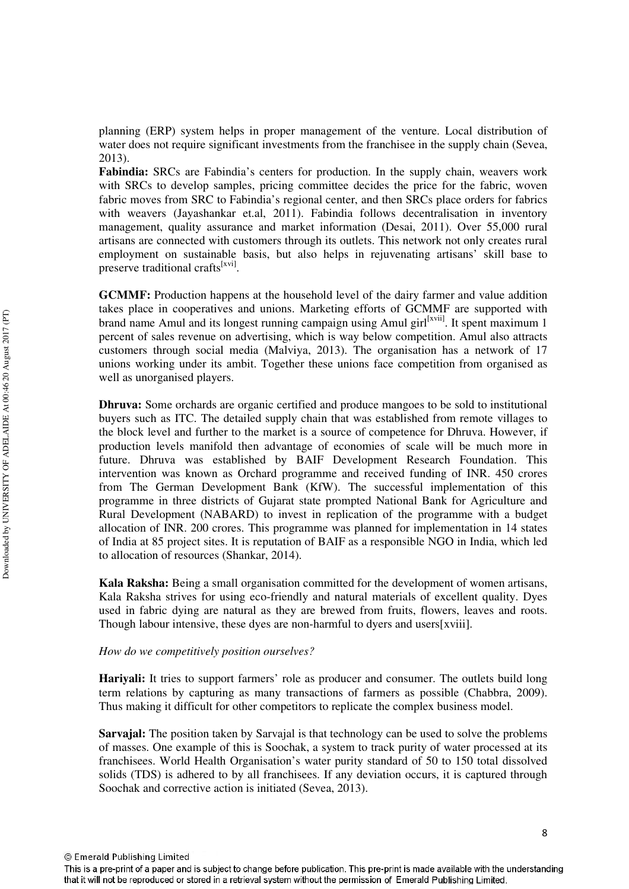planning (ERP) system helps in proper management of the venture. Local distribution of water does not require significant investments from the franchisee in the supply chain (Sevea, 2013).

**Fabindia:** SRCs are Fabindia's centers for production. In the supply chain, weavers work with SRCs to develop samples, pricing committee decides the price for the fabric, woven fabric moves from SRC to Fabindia's regional center, and then SRCs place orders for fabrics with weavers (Jayashankar et.al, 2011). Fabindia follows decentralisation in inventory management, quality assurance and market information (Desai, 2011). Over 55,000 rural artisans are connected with customers through its outlets. This network not only creates rural employment on sustainable basis, but also helps in rejuvenating artisans' skill base to preserve traditional crafts<sup>[xvi]</sup> .

**GCMMF:** Production happens at the household level of the dairy farmer and value addition takes place in cooperatives and unions. Marketing efforts of GCMMF are supported with brand name Amul and its longest running campaign using Amul girl $[xviii]$ . It spent maximum 1 percent of sales revenue on advertising, which is way below competition. Amul also attracts customers through social media (Malviya, 2013). The organisation has a network of 17 unions working under its ambit. Together these unions face competition from organised as well as unorganised players.

**Dhruva:** Some orchards are organic certified and produce mangoes to be sold to institutional buyers such as ITC. The detailed supply chain that was established from remote villages to the block level and further to the market is a source of competence for Dhruva. However, if production levels manifold then advantage of economies of scale will be much more in future. Dhruva was established by BAIF Development Research Foundation. This intervention was known as Orchard programme and received funding of INR. 450 crores from The German Development Bank (KfW). The successful implementation of this programme in three districts of Gujarat state prompted National Bank for Agriculture and Rural Development (NABARD) to invest in replication of the programme with a budget allocation of INR. 200 crores. This programme was planned for implementation in 14 states of India at 85 project sites. It is reputation of BAIF as a responsible NGO in India, which led to allocation of resources (Shankar, 2014).

**Kala Raksha:** Being a small organisation committed for the development of women artisans, Kala Raksha strives for using eco-friendly and natural materials of excellent quality. Dyes used in fabric dying are natural as they are brewed from fruits, flowers, leaves and roots. Though labour intensive, these dyes are non-harmful to dyers and users[xviii].

#### *How do we competitively position ourselves?*

**Hariyali:** It tries to support farmers' role as producer and consumer. The outlets build long term relations by capturing as many transactions of farmers as possible (Chabbra, 2009). Thus making it difficult for other competitors to replicate the complex business model.

**Sarvajal:** The position taken by Sarvajal is that technology can be used to solve the problems of masses. One example of this is Soochak, a system to track purity of water processed at its franchisees. World Health Organisation's water purity standard of 50 to 150 total dissolved solids (TDS) is adhered to by all franchisees. If any deviation occurs, it is captured through Soochak and corrective action is initiated (Sevea, 2013).

© Emerald Publishing Limited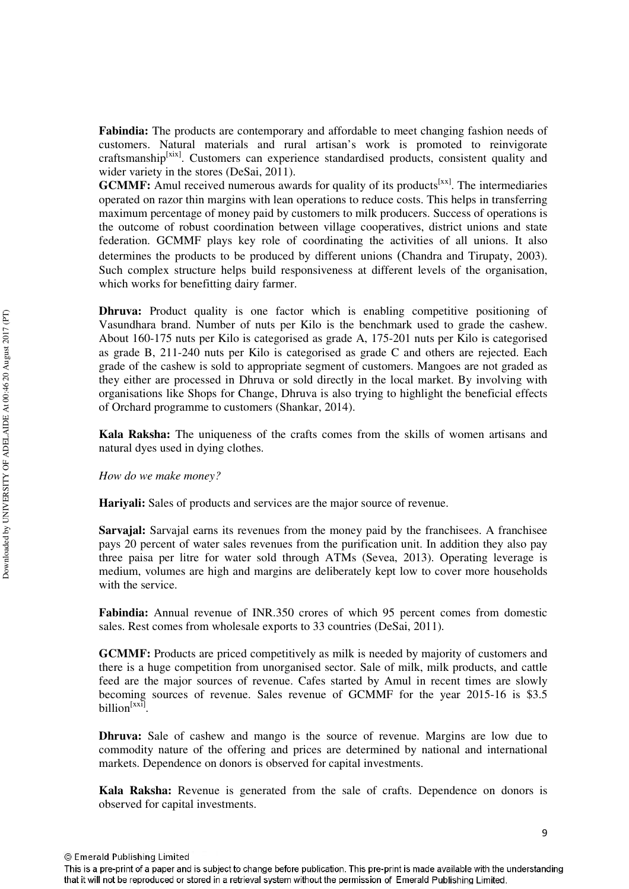**Fabindia:** The products are contemporary and affordable to meet changing fashion needs of customers. Natural materials and rural artisan's work is promoted to reinvigorate craftsmanship<sup>[xix]</sup>. Customers can experience standardised products, consistent quality and wider variety in the stores (DeSai, 2011).

**GCMMF:** Amul received numerous awards for quality of its products<sup>[xx]</sup>. The intermediaries operated on razor thin margins with lean operations to reduce costs. This helps in transferring maximum percentage of money paid by customers to milk producers. Success of operations is the outcome of robust coordination between village cooperatives, district unions and state federation. GCMMF plays key role of coordinating the activities of all unions. It also determines the products to be produced by different unions (Chandra and Tirupaty, 2003). Such complex structure helps build responsiveness at different levels of the organisation, which works for benefitting dairy farmer.

**Dhruva:** Product quality is one factor which is enabling competitive positioning of Vasundhara brand. Number of nuts per Kilo is the benchmark used to grade the cashew. About 160-175 nuts per Kilo is categorised as grade A, 175-201 nuts per Kilo is categorised as grade B, 211-240 nuts per Kilo is categorised as grade C and others are rejected. Each grade of the cashew is sold to appropriate segment of customers. Mangoes are not graded as they either are processed in Dhruva or sold directly in the local market. By involving with organisations like Shops for Change, Dhruva is also trying to highlight the beneficial effects of Orchard programme to customers (Shankar, 2014).

**Kala Raksha:** The uniqueness of the crafts comes from the skills of women artisans and natural dyes used in dying clothes.

*How do we make money?* 

**Harivali:** Sales of products and services are the major source of revenue.

**Sarvajal:** Sarvajal earns its revenues from the money paid by the franchises. A franchise pays 20 percent of water sales revenues from the purification unit. In addition they also pay three paisa per litre for water sold through ATMs (Sevea, 2013). Operating leverage is medium, volumes are high and margins are deliberately kept low to cover more households with the service.

**Fabindia:** Annual revenue of INR.350 crores of which 95 percent comes from domestic sales. Rest comes from wholesale exports to 33 countries (DeSai, 2011).

**GCMMF:** Products are priced competitively as milk is needed by majority of customers and there is a huge competition from unorganised sector. Sale of milk, milk products, and cattle feed are the major sources of revenue. Cafes started by Amul in recent times are slowly becoming sources of revenue. Sales revenue of GCMMF for the year 2015-16 is \$3.5 billion<sup>[xxi]</sup>.

**Dhruva:** Sale of cashew and mango is the source of revenue. Margins are low due to commodity nature of the offering and prices are determined by national and international markets. Dependence on donors is observed for capital investments.

**Kala Raksha:** Revenue is generated from the sale of crafts. Dependence on donors is observed for capital investments.

© Emerald Publishing Limited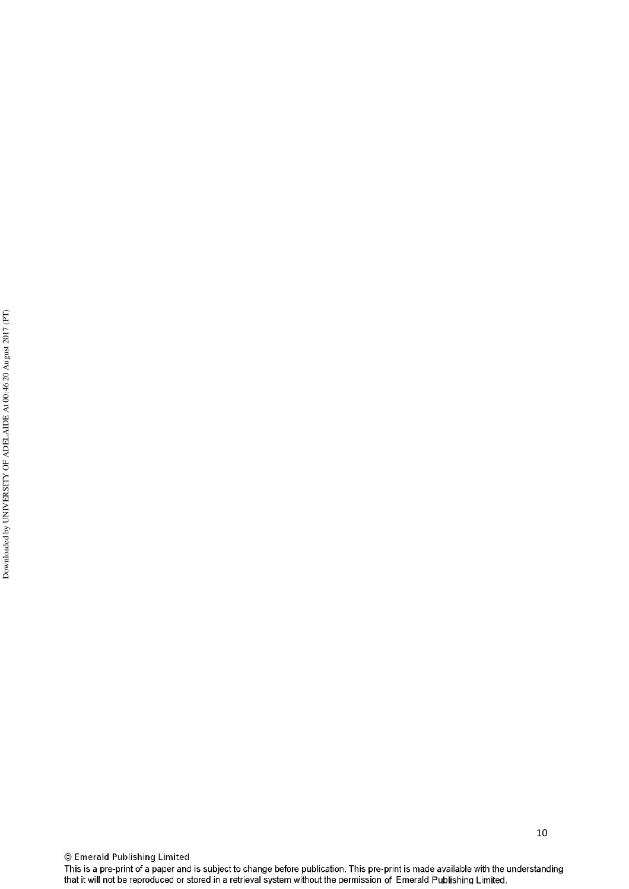Downloaded by UNIVERSITY OF ADELAIDE At 00:46 20 August 2017 (PT) Downloaded by UNIVERSITY OF ADELAIDE At 00:46 20 August 2017 (PT)

> © Emerald Publishing Limited This is a pre-print of a paper and is subject to change before publication. This pre-print is made available with the understanding<br>that it will not be reproduced or stored in a retrieval system without the permission of E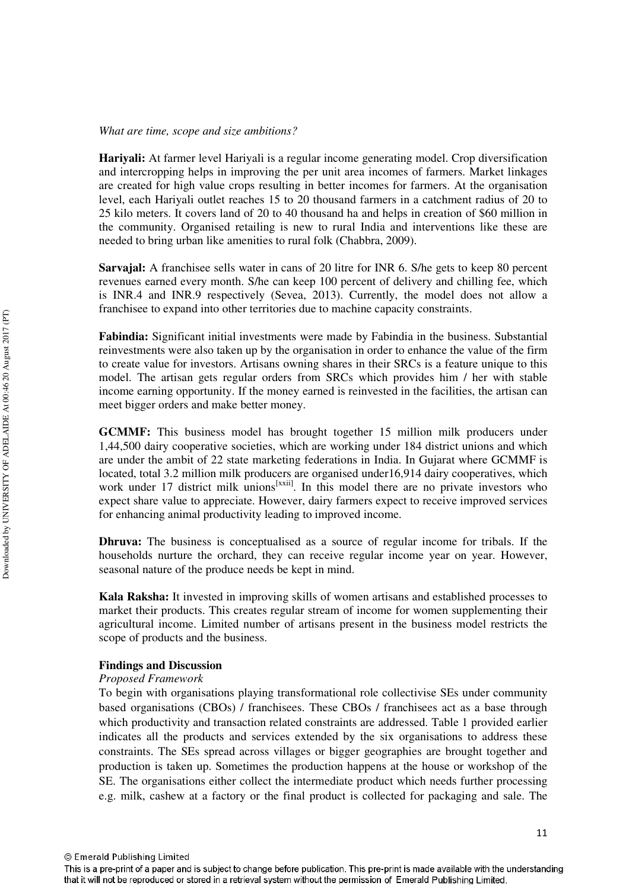*What are time, scope and size ambitions?* 

**Hariyali:** At farmer level Hariyali is a regular income generating model. Crop diversification and intercropping helps in improving the per unit area incomes of farmers. Market linkages are created for high value crops resulting in better incomes for farmers. At the organisation level, each Hariyali outlet reaches 15 to 20 thousand farmers in a catchment radius of 20 to 25 kilo meters. It covers land of 20 to 40 thousand ha and helps in creation of \$60 million in the community. Organised retailing is new to rural India and interventions like these are needed to bring urban like amenities to rural folk (Chabbra, 2009).

**Sarvajal:** A franchisee sells water in cans of 20 litre for INR 6. S/he gets to keep 80 percent revenues earned every month. S/he can keep 100 percent of delivery and chilling fee, which is INR.4 and INR.9 respectively (Sevea, 2013). Currently, the model does not allow a franchisee to expand into other territories due to machine capacity constraints.

**Fabindia:** Significant initial investments were made by Fabindia in the business. Substantial reinvestments were also taken up by the organisation in order to enhance the value of the firm to create value for investors. Artisans owning shares in their SRCs is a feature unique to this model. The artisan gets regular orders from SRCs which provides him / her with stable income earning opportunity. If the money earned is reinvested in the facilities, the artisan can meet bigger orders and make better money.

**GCMMF:** This business model has brought together 15 million milk producers under 1,44,500 dairy cooperative societies, which are working under 184 district unions and which are under the ambit of 22 state marketing federations in India. In Gujarat where GCMMF is located, total 3.2 million milk producers are organised under16,914 dairy cooperatives, which work under 17 district milk unions<sup>[xxii]</sup>. In this model there are no private investors who expect share value to appreciate. However, dairy farmers expect to receive improved services for enhancing animal productivity leading to improved income.

**Dhruva:** The business is conceptualised as a source of regular income for tribals. If the households nurture the orchard, they can receive regular income year on year. However, seasonal nature of the produce needs be kept in mind.

**Kala Raksha:** It invested in improving skills of women artisans and established processes to market their products. This creates regular stream of income for women supplementing their agricultural income. Limited number of artisans present in the business model restricts the scope of products and the business.

# **Findings and Discussion**

#### *Proposed Framework*

To begin with organisations playing transformational role collectivise SEs under community based organisations (CBOs) / franchisees. These CBOs / franchisees act as a base through which productivity and transaction related constraints are addressed. Table 1 provided earlier indicates all the products and services extended by the six organisations to address these constraints. The SEs spread across villages or bigger geographies are brought together and production is taken up. Sometimes the production happens at the house or workshop of the SE. The organisations either collect the intermediate product which needs further processing e.g. milk, cashew at a factory or the final product is collected for packaging and sale. The

© Emerald Publishing Limited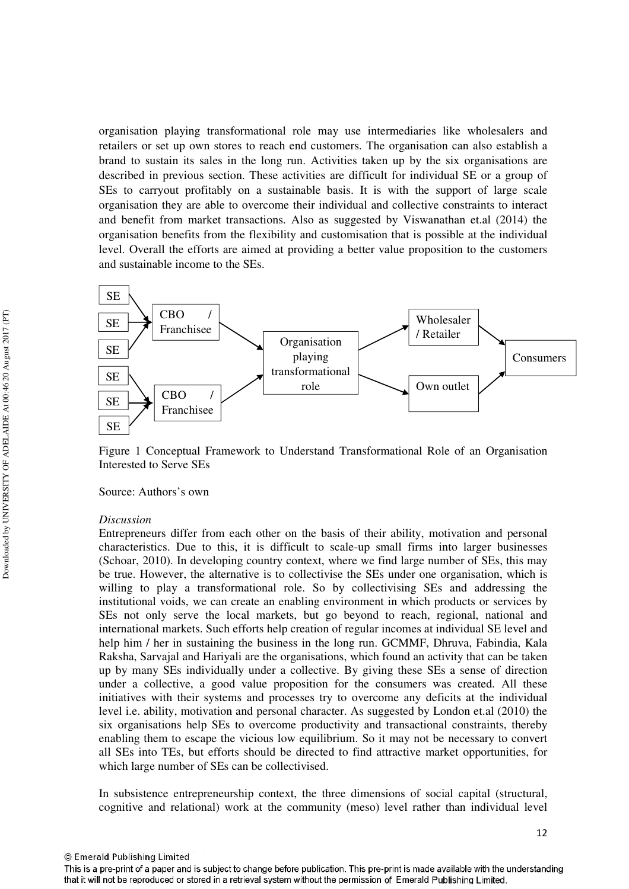organisation playing transformational role may use intermediaries like wholesalers and retailers or set up own stores to reach end customers. The organisation can also establish a brand to sustain its sales in the long run. Activities taken up by the six organisations are described in previous section. These activities are difficult for individual SE or a group of SEs to carryout profitably on a sustainable basis. It is with the support of large scale organisation they are able to overcome their individual and collective constraints to interact and benefit from market transactions. Also as suggested by Viswanathan et.al (2014) the organisation benefits from the flexibility and customisation that is possible at the individual level. Overall the efforts are aimed at providing a better value proposition to the customers and sustainable income to the SEs.



Figure 1 Conceptual Framework to Understand Transformational Role of an Organisation Interested to Serve SEs

# Source: Authors's own

#### *Discussion*

Entrepreneurs differ from each other on the basis of their ability, motivation and personal characteristics. Due to this, it is difficult to scale-up small firms into larger businesses (Schoar, 2010). In developing country context, where we find large number of SEs, this may be true. However, the alternative is to collectivise the SEs under one organisation, which is willing to play a transformational role. So by collectivising SEs and addressing the institutional voids, we can create an enabling environment in which products or services by SEs not only serve the local markets, but go beyond to reach, regional, national and international markets. Such efforts help creation of regular incomes at individual SE level and help him / her in sustaining the business in the long run. GCMMF, Dhruva, Fabindia, Kala Raksha, Sarvajal and Hariyali are the organisations, which found an activity that can be taken up by many SEs individually under a collective. By giving these SEs a sense of direction under a collective, a good value proposition for the consumers was created. All these initiatives with their systems and processes try to overcome any deficits at the individual level i.e. ability, motivation and personal character. As suggested by London et.al (2010) the six organisations help SEs to overcome productivity and transactional constraints, thereby enabling them to escape the vicious low equilibrium. So it may not be necessary to convert all SEs into TEs, but efforts should be directed to find attractive market opportunities, for which large number of SEs can be collectivised.

In subsistence entrepreneurship context, the three dimensions of social capital (structural, cognitive and relational) work at the community (meso) level rather than individual level

© Emerald Publishing Limited

<sup>12</sup>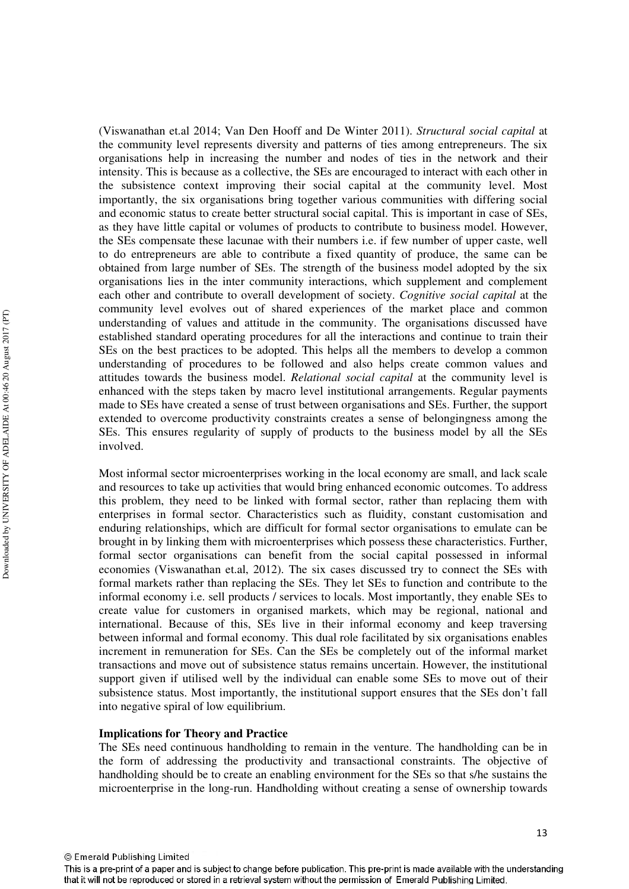(Viswanathan et.al 2014; Van Den Hooff and De Winter 2011). *Structural social capital* at the community level represents diversity and patterns of ties among entrepreneurs. The six organisations help in increasing the number and nodes of ties in the network and their intensity. This is because as a collective, the SEs are encouraged to interact with each other in the subsistence context improving their social capital at the community level. Most importantly, the six organisations bring together various communities with differing social and economic status to create better structural social capital. This is important in case of SEs, as they have little capital or volumes of products to contribute to business model. However, the SEs compensate these lacunae with their numbers i.e. if few number of upper caste, well to do entrepreneurs are able to contribute a fixed quantity of produce, the same can be obtained from large number of SEs. The strength of the business model adopted by the six organisations lies in the inter community interactions, which supplement and complement each other and contribute to overall development of society. *Cognitive social capital* at the community level evolves out of shared experiences of the market place and common understanding of values and attitude in the community. The organisations discussed have established standard operating procedures for all the interactions and continue to train their SEs on the best practices to be adopted. This helps all the members to develop a common understanding of procedures to be followed and also helps create common values and attitudes towards the business model. *Relational social capital* at the community level is enhanced with the steps taken by macro level institutional arrangements. Regular payments made to SEs have created a sense of trust between organisations and SEs. Further, the support extended to overcome productivity constraints creates a sense of belongingness among the SEs. This ensures regularity of supply of products to the business model by all the SEs involved.

Most informal sector microenterprises working in the local economy are small, and lack scale and resources to take up activities that would bring enhanced economic outcomes. To address this problem, they need to be linked with formal sector, rather than replacing them with enterprises in formal sector. Characteristics such as fluidity, constant customisation and enduring relationships, which are difficult for formal sector organisations to emulate can be brought in by linking them with microenterprises which possess these characteristics. Further, formal sector organisations can benefit from the social capital possessed in informal economies (Viswanathan et.al, 2012). The six cases discussed try to connect the SEs with formal markets rather than replacing the SEs. They let SEs to function and contribute to the informal economy i.e. sell products / services to locals. Most importantly, they enable SEs to create value for customers in organised markets, which may be regional, national and international. Because of this, SEs live in their informal economy and keep traversing between informal and formal economy. This dual role facilitated by six organisations enables increment in remuneration for SEs. Can the SEs be completely out of the informal market transactions and move out of subsistence status remains uncertain. However, the institutional support given if utilised well by the individual can enable some SEs to move out of their subsistence status. Most importantly, the institutional support ensures that the SEs don't fall into negative spiral of low equilibrium.

#### **Implications for Theory and Practice**

The SEs need continuous handholding to remain in the venture. The handholding can be in the form of addressing the productivity and transactional constraints. The objective of handholding should be to create an enabling environment for the SEs so that s/he sustains the microenterprise in the long-run. Handholding without creating a sense of ownership towards

© Emerald Publishing Limited

<sup>13</sup>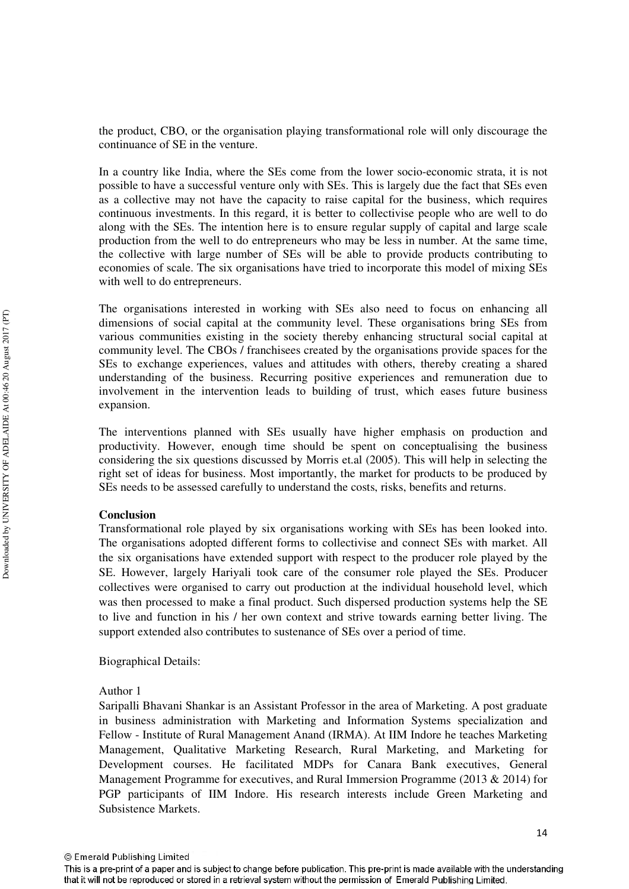the product, CBO, or the organisation playing transformational role will only discourage the continuance of SE in the venture.

In a country like India, where the SEs come from the lower socio-economic strata, it is not possible to have a successful venture only with SEs. This is largely due the fact that SEs even as a collective may not have the capacity to raise capital for the business, which requires continuous investments. In this regard, it is better to collectivise people who are well to do along with the SEs. The intention here is to ensure regular supply of capital and large scale production from the well to do entrepreneurs who may be less in number. At the same time, the collective with large number of SEs will be able to provide products contributing to economies of scale. The six organisations have tried to incorporate this model of mixing SEs with well to do entrepreneurs.

The organisations interested in working with SEs also need to focus on enhancing all dimensions of social capital at the community level. These organisations bring SEs from various communities existing in the society thereby enhancing structural social capital at community level. The CBOs / franchisees created by the organisations provide spaces for the SEs to exchange experiences, values and attitudes with others, thereby creating a shared understanding of the business. Recurring positive experiences and remuneration due to involvement in the intervention leads to building of trust, which eases future business expansion.

The interventions planned with SEs usually have higher emphasis on production and productivity. However, enough time should be spent on conceptualising the business considering the six questions discussed by Morris et.al (2005). This will help in selecting the right set of ideas for business. Most importantly, the market for products to be produced by SEs needs to be assessed carefully to understand the costs, risks, benefits and returns.

#### **Conclusion**

Transformational role played by six organisations working with SEs has been looked into. The organisations adopted different forms to collectivise and connect SEs with market. All the six organisations have extended support with respect to the producer role played by the SE. However, largely Hariyali took care of the consumer role played the SEs. Producer collectives were organised to carry out production at the individual household level, which was then processed to make a final product. Such dispersed production systems help the SE to live and function in his / her own context and strive towards earning better living. The support extended also contributes to sustenance of SEs over a period of time.

Biographical Details:

#### Author 1

Saripalli Bhavani Shankar is an Assistant Professor in the area of Marketing. A post graduate in business administration with Marketing and Information Systems specialization and Fellow - Institute of Rural Management Anand (IRMA). At IIM Indore he teaches Marketing Management, Qualitative Marketing Research, Rural Marketing, and Marketing for Development courses. He facilitated MDPs for Canara Bank executives, General Management Programme for executives, and Rural Immersion Programme (2013 & 2014) for PGP participants of IIM Indore. His research interests include Green Marketing and Subsistence Markets.

© Emerald Publishing Limited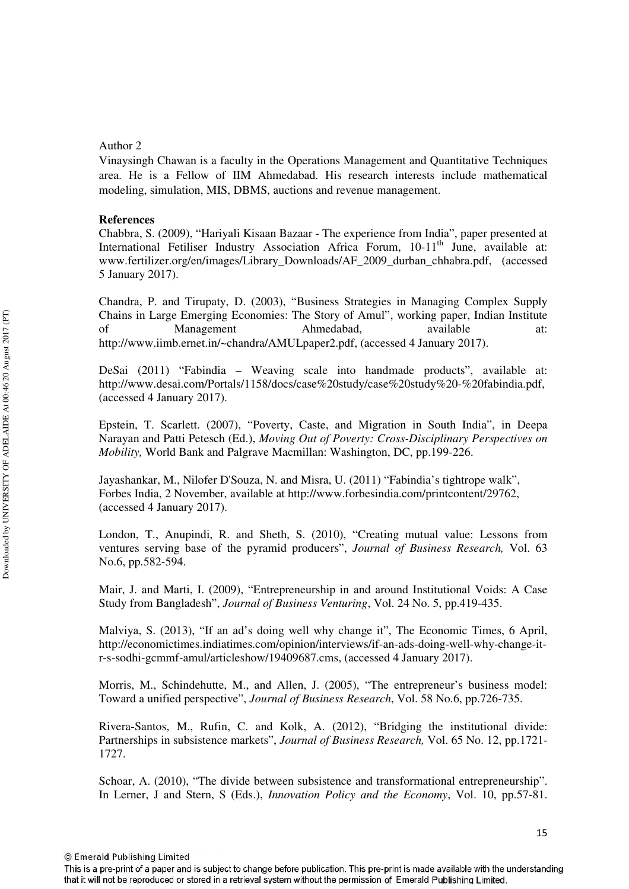### Author 2

Vinaysingh Chawan is a faculty in the Operations Management and Quantitative Techniques area. He is a Fellow of IIM Ahmedabad. His research interests include mathematical modeling, simulation, MIS, DBMS, auctions and revenue management.

#### **References**

Chabbra, S. (2009), "Hariyali Kisaan Bazaar - The experience from India", paper presented at International Fetiliser Industry Association Africa Forum,  $10-11<sup>th</sup>$  June, available at: www.fertilizer.org/en/images/Library\_Downloads/AF\_2009\_durban\_chhabra.pdf, (accessed 5 January 2017).

Chandra, P. and Tirupaty, D. (2003), "Business Strategies in Managing Complex Supply Chains in Large Emerging Economies: The Story of Amul", working paper, Indian Institute of Management Ahmedabad, available at: http://www.iimb.ernet.in/~chandra/AMULpaper2.pdf, (accessed 4 January 2017).

DeSai (2011) "Fabindia – Weaving scale into handmade products", available at: http://www.desai.com/Portals/1158/docs/case%20study/case%20study%20-%20fabindia.pdf, (accessed 4 January 2017).

Epstein, T. Scarlett. (2007), "Poverty, Caste, and Migration in South India", in Deepa Narayan and Patti Petesch (Ed.), *Moving Out of Poverty: Cross-Disciplinary Perspectives on Mobility,* World Bank and Palgrave Macmillan: Washington, DC, pp.199-226.

Jayashankar, M., Nilofer D'Souza, N. and Misra, U. (2011) "Fabindia's tightrope walk", Forbes India, 2 November, available at http://www.forbesindia.com/printcontent/29762, (accessed 4 January 2017).

London, T., Anupindi, R. and Sheth, S. (2010), "Creating mutual value: Lessons from ventures serving base of the pyramid producers", *Journal of Business Research,* Vol. 63 No.6, pp.582-594.

Mair, J. and Marti, I. (2009), "Entrepreneurship in and around Institutional Voids: A Case Study from Bangladesh", *Journal of Business Venturing*, Vol. 24 No. 5, pp.419-435.

Malviya, S. (2013), "If an ad's doing well why change it", The Economic Times, 6 April, http://economictimes.indiatimes.com/opinion/interviews/if-an-ads-doing-well-why-change-itr-s-sodhi-gcmmf-amul/articleshow/19409687.cms, (accessed 4 January 2017).

Morris, M., Schindehutte, M., and Allen, J. (2005), "The entrepreneur's business model: Toward a unified perspective", *Journal of Business Research*, Vol. 58 No.6, pp.726-735.

Rivera-Santos, M., Rufin, C. and Kolk, A. (2012), "Bridging the institutional divide: Partnerships in subsistence markets", *Journal of Business Research,* Vol. 65 No. 12, pp.1721- 1727.

Schoar, A. (2010), "The divide between subsistence and transformational entrepreneurship". In Lerner, J and Stern, S (Eds.), *Innovation Policy and the Economy*, Vol. 10, pp.57-81.

© Emerald Publishing Limited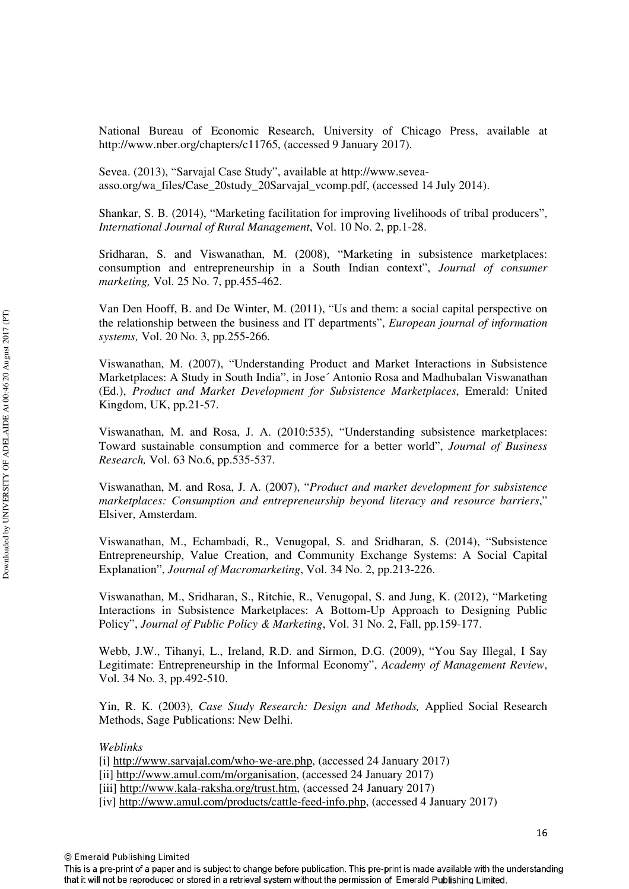National Bureau of Economic Research, University of Chicago Press, available at http://www.nber.org/chapters/c11765, (accessed 9 January 2017).

Sevea. (2013), "Sarvajal Case Study", available at http://www.seveaasso.org/wa\_files/Case\_20study\_20Sarvajal\_vcomp.pdf, (accessed 14 July 2014).

Shankar, S. B. (2014), "Marketing facilitation for improving livelihoods of tribal producers", *International Journal of Rural Management*, Vol. 10 No. 2, pp.1-28.

Sridharan, S. and Viswanathan, M. (2008), "Marketing in subsistence marketplaces: consumption and entrepreneurship in a South Indian context", *Journal of consumer marketing,* Vol. 25 No. 7, pp.455-462.

Van Den Hooff, B. and De Winter, M. (2011), "Us and them: a social capital perspective on the relationship between the business and IT departments", *European journal of information systems,* Vol. 20 No. 3, pp.255-266.

Viswanathan, M. (2007), "Understanding Product and Market Interactions in Subsistence Marketplaces: A Study in South India", in Jose´ Antonio Rosa and Madhubalan Viswanathan (Ed.), *Product and Market Development for Subsistence Marketplaces*, Emerald: United Kingdom, UK, pp.21-57.

Viswanathan, M. and Rosa, J. A. (2010:535), "Understanding subsistence marketplaces: Toward sustainable consumption and commerce for a better world", *Journal of Business Research,* Vol. 63 No.6, pp.535-537.

Viswanathan, M. and Rosa, J. A. (2007), "*Product and market development for subsistence marketplaces: Consumption and entrepreneurship beyond literacy and resource barriers*," Elsiver, Amsterdam.

Viswanathan, M., Echambadi, R., Venugopal, S. and Sridharan, S. (2014), "Subsistence Entrepreneurship, Value Creation, and Community Exchange Systems: A Social Capital Explanation", *Journal of Macromarketing*, Vol. 34 No. 2, pp.213-226.

Viswanathan, M., Sridharan, S., Ritchie, R., Venugopal, S. and Jung, K. (2012), "Marketing Interactions in Subsistence Marketplaces: A Bottom-Up Approach to Designing Public Policy", *Journal of Public Policy & Marketing*, Vol. 31 No. 2, Fall, pp.159-177.

Webb, J.W., Tihanyi, L., Ireland, R.D. and Sirmon, D.G. (2009), "You Say Illegal, I Say Legitimate: Entrepreneurship in the Informal Economy", *Academy of Management Review*, Vol. 34 No. 3, pp.492-510.

Yin, R. K. (2003), *Case Study Research: Design and Methods,* Applied Social Research Methods, Sage Publications: New Delhi.

*Weblinks* 

© Emerald Publishing Limited

<sup>[</sup>i] http://www.sarvajal.com/who-we-are.php, (accessed 24 January 2017)

<sup>[</sup>ii] http://www.amul.com/m/organisation, (accessed 24 January 2017)

<sup>[</sup>iii] http://www.kala-raksha.org/trust.htm, (accessed 24 January 2017)

<sup>[</sup>iv] http://www.amul.com/products/cattle-feed-info.php, (accessed 4 January 2017)